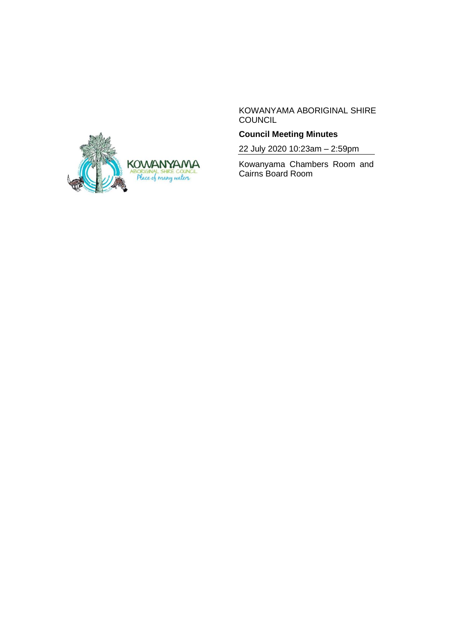

KOWANYAMA ABORIGINAL SHIRE COUNCIL

# **Council Meeting Minutes**

22 July 2020 10:23am – 2:59pm

Kowanyama Chambers Room and Cairns Board Room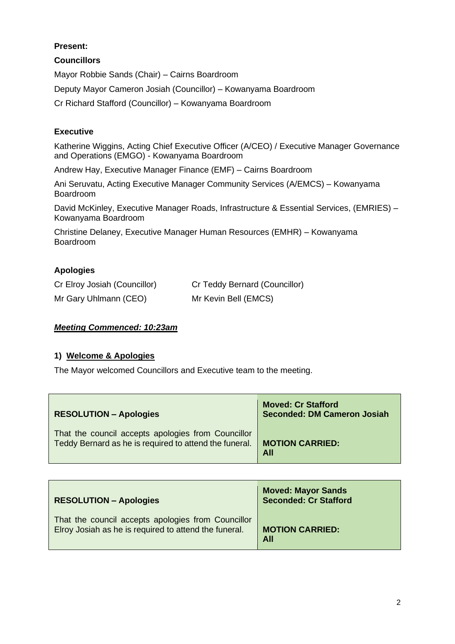# **Present:**

# **Councillors**

Mayor Robbie Sands (Chair) – Cairns Boardroom Deputy Mayor Cameron Josiah (Councillor) – Kowanyama Boardroom Cr Richard Stafford (Councillor) – Kowanyama Boardroom

# **Executive**

Katherine Wiggins, Acting Chief Executive Officer (A/CEO) / Executive Manager Governance and Operations (EMGO) - Kowanyama Boardroom

Andrew Hay, Executive Manager Finance (EMF) – Cairns Boardroom

Ani Seruvatu, Acting Executive Manager Community Services (A/EMCS) – Kowanyama Boardroom

David McKinley, Executive Manager Roads, Infrastructure & Essential Services, (EMRIES) – Kowanyama Boardroom

Christine Delaney, Executive Manager Human Resources (EMHR) – Kowanyama Boardroom

# **Apologies**

| Cr Elroy Josiah (Councillor) | Cr Teddy Bernard (Councillor) |
|------------------------------|-------------------------------|
| Mr Gary Uhlmann (CEO)        | Mr Kevin Bell (EMCS)          |

# *Meeting Commenced: 10:23am*

# **1) Welcome & Apologies**

The Mayor welcomed Councillors and Executive team to the meeting.

| <b>RESOLUTION - Apologies</b>                          | <b>Moved: Cr Stafford</b><br><b>Seconded: DM Cameron Josiah</b> |
|--------------------------------------------------------|-----------------------------------------------------------------|
| That the council accepts apologies from Councillor     | <b>MOTION CARRIED:</b>                                          |
| Teddy Bernard as he is required to attend the funeral. | All                                                             |

| <b>RESOLUTION - Apologies</b>                         | <b>Moved: Mayor Sands</b><br><b>Seconded: Cr Stafford</b> |
|-------------------------------------------------------|-----------------------------------------------------------|
| That the council accepts apologies from Councillor    | <b>MOTION CARRIED:</b>                                    |
| Elroy Josiah as he is required to attend the funeral. | <b>All</b>                                                |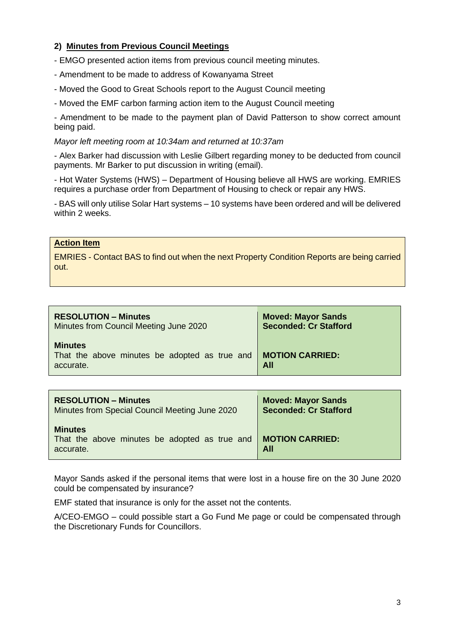# **2) Minutes from Previous Council Meetings**

- EMGO presented action items from previous council meeting minutes.

- Amendment to be made to address of Kowanyama Street
- Moved the Good to Great Schools report to the August Council meeting
- Moved the EMF carbon farming action item to the August Council meeting

- Amendment to be made to the payment plan of David Patterson to show correct amount being paid.

#### *Mayor left meeting room at 10:34am and returned at 10:37am*

- Alex Barker had discussion with Leslie Gilbert regarding money to be deducted from council payments. Mr Barker to put discussion in writing (email).

- Hot Water Systems (HWS) – Department of Housing believe all HWS are working. EMRIES requires a purchase order from Department of Housing to check or repair any HWS.

- BAS will only utilise Solar Hart systems – 10 systems have been ordered and will be delivered within 2 weeks.

### **Action Item**

EMRIES - Contact BAS to find out when the next Property Condition Reports are being carried out.

| <b>RESOLUTION - Minutes</b>                                                  | <b>Moved: Mayor Sands</b>     |
|------------------------------------------------------------------------------|-------------------------------|
| Minutes from Council Meeting June 2020                                       | <b>Seconded: Cr Stafford</b>  |
| <b>Minutes</b><br>That the above minutes be adopted as true and<br>accurate. | <b>MOTION CARRIED:</b><br>All |

| <b>RESOLUTION - Minutes</b>                                                  | <b>Moved: Mayor Sands</b>     |
|------------------------------------------------------------------------------|-------------------------------|
| Minutes from Special Council Meeting June 2020                               | <b>Seconded: Cr Stafford</b>  |
| <b>Minutes</b><br>That the above minutes be adopted as true and<br>accurate. | <b>MOTION CARRIED:</b><br>All |

Mayor Sands asked if the personal items that were lost in a house fire on the 30 June 2020 could be compensated by insurance?

EMF stated that insurance is only for the asset not the contents.

A/CEO-EMGO – could possible start a Go Fund Me page or could be compensated through the Discretionary Funds for Councillors.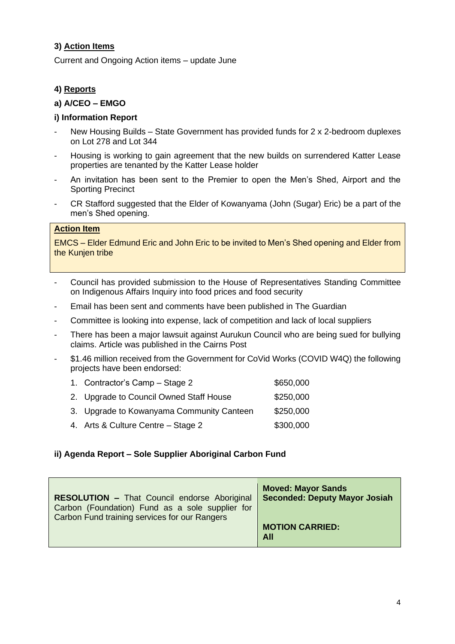# **3) Action Items**

Current and Ongoing Action items – update June

# **4) Reports**

### **a) A/CEO – EMGO**

### **i) Information Report**

- New Housing Builds State Government has provided funds for 2 x 2-bedroom duplexes on Lot 278 and Lot 344
- Housing is working to gain agreement that the new builds on surrendered Katter Lease properties are tenanted by the Katter Lease holder
- An invitation has been sent to the Premier to open the Men's Shed, Airport and the Sporting Precinct
- CR Stafford suggested that the Elder of Kowanyama (John (Sugar) Eric) be a part of the men's Shed opening.

# **Action Item**

EMCS – Elder Edmund Eric and John Eric to be invited to Men's Shed opening and Elder from the Kunjen tribe

- Council has provided submission to the House of Representatives Standing Committee on Indigenous Affairs Inquiry into food prices and food security
- Email has been sent and comments have been published in The Guardian
- Committee is looking into expense, lack of competition and lack of local suppliers
- There has been a major lawsuit against Aurukun Council who are being sued for bullying claims. Article was published in the Cairns Post
- \$1.46 million received from the Government for CoVid Works (COVID W4Q) the following projects have been endorsed:

| 1. Contractor's Camp – Stage 2            | \$650,000 |
|-------------------------------------------|-----------|
| 2. Upgrade to Council Owned Staff House   | \$250,000 |
| 3. Upgrade to Kowanyama Community Canteen | \$250,000 |
| 4. Arts & Culture Centre - Stage 2        | \$300,000 |
|                                           |           |

### **ii) Agenda Report – Sole Supplier Aboriginal Carbon Fund**

| <b>RESOLUTION - That Council endorse Aboriginal</b><br>Carbon (Foundation) Fund as a sole supplier for<br>Carbon Fund training services for our Rangers | <b>Moved: Mayor Sands</b><br><b>Seconded: Deputy Mayor Josiah</b> |
|---------------------------------------------------------------------------------------------------------------------------------------------------------|-------------------------------------------------------------------|
|                                                                                                                                                         | <b>MOTION CARRIED:</b><br>All                                     |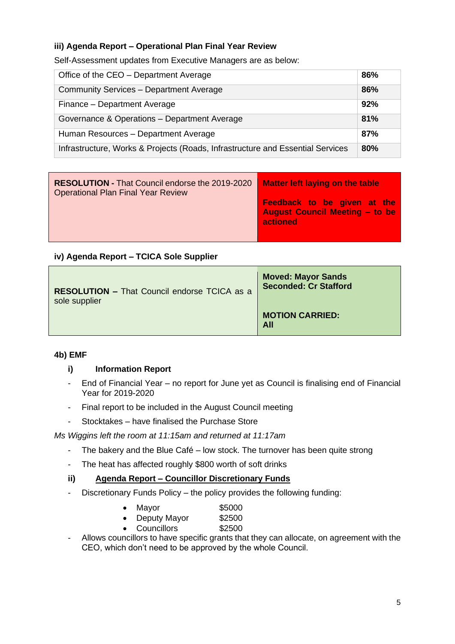# **iii) Agenda Report – Operational Plan Final Year Review**

Self-Assessment updates from Executive Managers are as below:

| Office of the CEO – Department Average                                         | 86% |
|--------------------------------------------------------------------------------|-----|
| Community Services - Department Average                                        | 86% |
| Finance - Department Average                                                   | 92% |
| Governance & Operations - Department Average                                   | 81% |
| Human Resources - Department Average                                           | 87% |
| Infrastructure, Works & Projects (Roads, Infrastructure and Essential Services | 80% |

| <b>RESOLUTION - That Council endorse the 2019-2020</b><br><b>Operational Plan Final Year Review</b> | <b>Matter left laying on the table</b>                                                  |
|-----------------------------------------------------------------------------------------------------|-----------------------------------------------------------------------------------------|
|                                                                                                     | <b>Feedback to be given at the</b><br><b>August Council Meeting - to be</b><br>actioned |

# **iv) Agenda Report – TCICA Sole Supplier**

| <b>RESOLUTION - That Council endorse TCICA as a</b> | <b>Moved: Mayor Sands</b>     |
|-----------------------------------------------------|-------------------------------|
| sole supplier                                       | <b>Seconded: Cr Stafford</b>  |
|                                                     | <b>MOTION CARRIED:</b><br>All |

### **4b) EMF**

### **i) Information Report**

- End of Financial Year no report for June yet as Council is finalising end of Financial Year for 2019-2020
- Final report to be included in the August Council meeting
- Stocktakes have finalised the Purchase Store

*Ms Wiggins left the room at 11:15am and returned at 11:17am*

- The bakery and the Blue Café low stock. The turnover has been quite strong
- The heat has affected roughly \$800 worth of soft drinks

### **ii) Agenda Report – Councillor Discretionary Funds**

- Discretionary Funds Policy – the policy provides the following funding:

| $\bullet$ | Mayor        | \$5000 |
|-----------|--------------|--------|
|           | Deputy Mayor | \$2500 |
|           | Councillors  | \$2500 |

- Allows councillors to have specific grants that they can allocate, on agreement with the CEO, which don't need to be approved by the whole Council.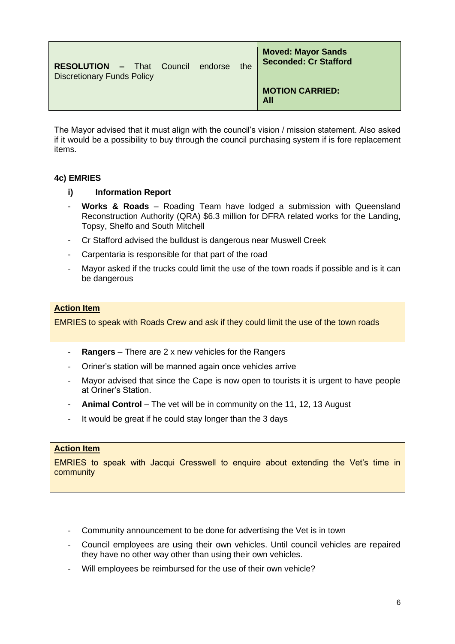| <b>RESOLUTION - That Council endorse</b><br><b>Discretionary Funds Policy</b> |  | the | <b>Moved: Mayor Sands</b><br><b>Seconded: Cr Stafford</b> |
|-------------------------------------------------------------------------------|--|-----|-----------------------------------------------------------|
|                                                                               |  |     | <b>MOTION CARRIED:</b><br>All                             |

The Mayor advised that it must align with the council's vision / mission statement. Also asked if it would be a possibility to buy through the council purchasing system if is fore replacement items.

# **4c) EMRIES**

### **i) Information Report**

- Works & Roads Roading Team have lodged a submission with Queensland Reconstruction Authority (QRA) \$6.3 million for DFRA related works for the Landing, Topsy, Shelfo and South Mitchell
- Cr Stafford advised the bulldust is dangerous near Muswell Creek
- Carpentaria is responsible for that part of the road
- Mayor asked if the trucks could limit the use of the town roads if possible and is it can be dangerous

#### **Action Item**

EMRIES to speak with Roads Crew and ask if they could limit the use of the town roads

- **Rangers** There are 2 x new vehicles for the Rangers
- Oriner's station will be manned again once vehicles arrive
- Mayor advised that since the Cape is now open to tourists it is urgent to have people at Oriner's Station.
- Animal Control The vet will be in community on the 11, 12, 13 August
- It would be great if he could stay longer than the 3 days

### **Action Item**

EMRIES to speak with Jacqui Cresswell to enquire about extending the Vet's time in community

- Community announcement to be done for advertising the Vet is in town
- Council employees are using their own vehicles. Until council vehicles are repaired they have no other way other than using their own vehicles.
- Will employees be reimbursed for the use of their own vehicle?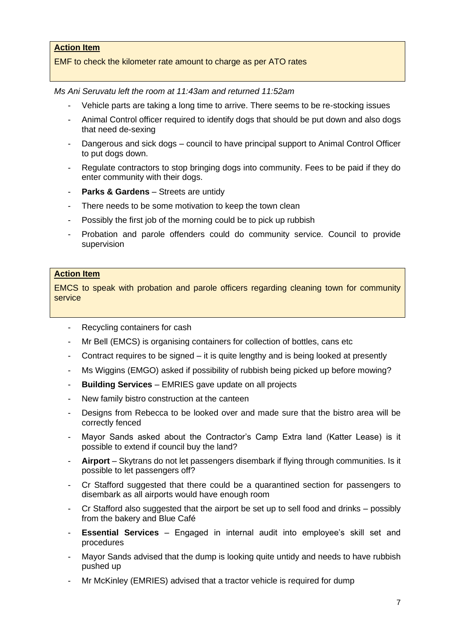# **Action Item**

### EMF to check the kilometer rate amount to charge as per ATO rates

*Ms Ani Seruvatu left the room at 11:43am and returned 11:52am*

- Vehicle parts are taking a long time to arrive. There seems to be re-stocking issues
- Animal Control officer required to identify dogs that should be put down and also dogs that need de-sexing
- Dangerous and sick dogs council to have principal support to Animal Control Officer to put dogs down.
- Regulate contractors to stop bringing dogs into community. Fees to be paid if they do enter community with their dogs.
- **Parks & Gardens** Streets are untidy
- There needs to be some motivation to keep the town clean
- Possibly the first job of the morning could be to pick up rubbish
- Probation and parole offenders could do community service. Council to provide supervision

#### **Action Item**

EMCS to speak with probation and parole officers regarding cleaning town for community service

- Recycling containers for cash
- Mr Bell (EMCS) is organising containers for collection of bottles, cans etc
- Contract requires to be signed it is quite lengthy and is being looked at presently
- Ms Wiggins (EMGO) asked if possibility of rubbish being picked up before mowing?
- **Building Services** EMRIES gave update on all projects
- New family bistro construction at the canteen
- Designs from Rebecca to be looked over and made sure that the bistro area will be correctly fenced
- Mayor Sands asked about the Contractor's Camp Extra land (Katter Lease) is it possible to extend if council buy the land?
- **Airport** Skytrans do not let passengers disembark if flying through communities. Is it possible to let passengers off?
- Cr Stafford suggested that there could be a quarantined section for passengers to disembark as all airports would have enough room
- Cr Stafford also suggested that the airport be set up to sell food and drinks possibly from the bakery and Blue Café
- **Essential Services** Engaged in internal audit into employee's skill set and procedures
- Mayor Sands advised that the dump is looking quite untidy and needs to have rubbish pushed up
- Mr McKinley (EMRIES) advised that a tractor vehicle is required for dump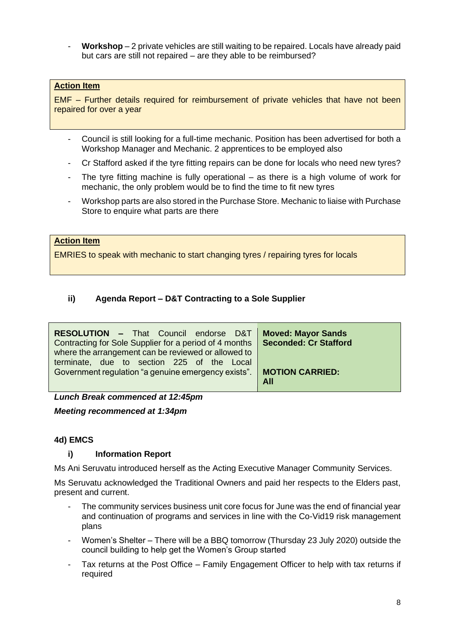- **Workshop** – 2 private vehicles are still waiting to be repaired. Locals have already paid but cars are still not repaired – are they able to be reimbursed?

# **Action Item**

EMF – Further details required for reimbursement of private vehicles that have not been repaired for over a year

- Council is still looking for a full-time mechanic. Position has been advertised for both a Workshop Manager and Mechanic. 2 apprentices to be employed also
- Cr Stafford asked if the tyre fitting repairs can be done for locals who need new tyres?
- The tyre fitting machine is fully operational as there is a high volume of work for mechanic, the only problem would be to find the time to fit new tyres
- Workshop parts are also stored in the Purchase Store. Mechanic to liaise with Purchase Store to enquire what parts are there

# **Action Item**

EMRIES to speak with mechanic to start changing tyres / repairing tyres for locals

# **ii) Agenda Report – D&T Contracting to a Sole Supplier**

| <b>RESOLUTION - That Council endorse D&amp;T</b><br>Contracting for Sole Supplier for a period of 4 months | <b>Moved: Mayor Sands</b><br><b>Seconded: Cr Stafford</b> |
|------------------------------------------------------------------------------------------------------------|-----------------------------------------------------------|
| where the arrangement can be reviewed or allowed to<br>terminate, due to section 225 of the Local          |                                                           |
| Government regulation "a genuine emergency exists".                                                        | <b>MOTION CARRIED:</b><br>All                             |

*Lunch Break commenced at 12:45pm*

*Meeting recommenced at 1:34pm*

### **4d) EMCS**

### **i) Information Report**

Ms Ani Seruvatu introduced herself as the Acting Executive Manager Community Services.

Ms Seruvatu acknowledged the Traditional Owners and paid her respects to the Elders past, present and current.

- The community services business unit core focus for June was the end of financial year and continuation of programs and services in line with the Co-Vid19 risk management plans
- Women's Shelter There will be a BBQ tomorrow (Thursday 23 July 2020) outside the council building to help get the Women's Group started
- Tax returns at the Post Office Family Engagement Officer to help with tax returns if required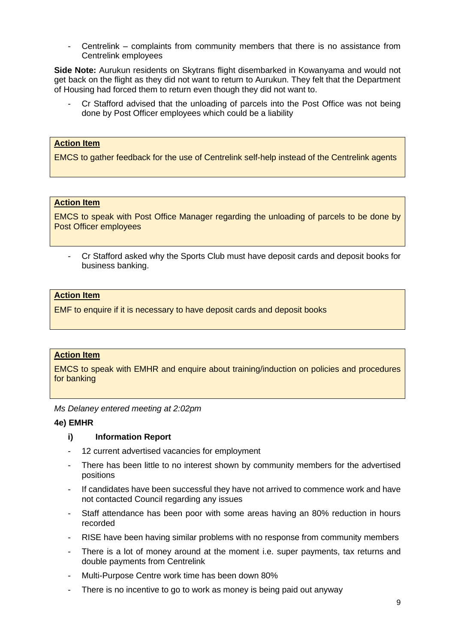- Centrelink – complaints from community members that there is no assistance from Centrelink employees

**Side Note:** Aurukun residents on Skytrans flight disembarked in Kowanyama and would not get back on the flight as they did not want to return to Aurukun. They felt that the Department of Housing had forced them to return even though they did not want to.

Cr Stafford advised that the unloading of parcels into the Post Office was not being done by Post Officer employees which could be a liability

### **Action Item**

EMCS to gather feedback for the use of Centrelink self-help instead of the Centrelink agents

#### **Action Item**

EMCS to speak with Post Office Manager regarding the unloading of parcels to be done by Post Officer employees

- Cr Stafford asked why the Sports Club must have deposit cards and deposit books for business banking.

#### **Action Item**

EMF to enquire if it is necessary to have deposit cards and deposit books

## **Action Item**

EMCS to speak with EMHR and enquire about training/induction on policies and procedures for banking

*Ms Delaney entered meeting at 2:02pm*

#### **4e) EMHR**

### **i) Information Report**

- 12 current advertised vacancies for employment
- There has been little to no interest shown by community members for the advertised positions
- If candidates have been successful they have not arrived to commence work and have not contacted Council regarding any issues
- Staff attendance has been poor with some areas having an 80% reduction in hours recorded
- RISE have been having similar problems with no response from community members
- There is a lot of money around at the moment i.e. super payments, tax returns and double payments from Centrelink
- Multi-Purpose Centre work time has been down 80%
- There is no incentive to go to work as money is being paid out anyway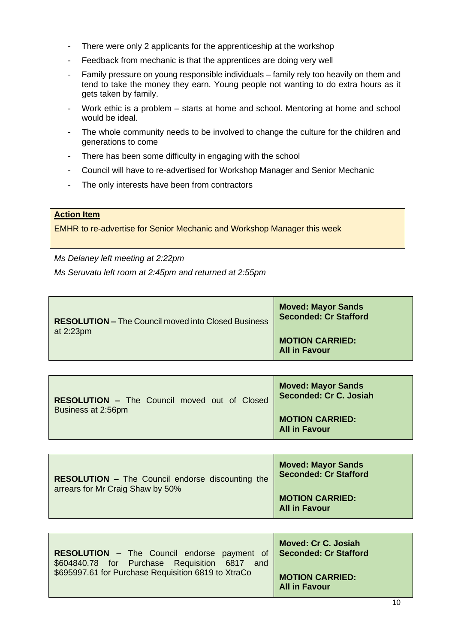- There were only 2 applicants for the apprenticeship at the workshop
- Feedback from mechanic is that the apprentices are doing very well
- Family pressure on young responsible individuals family rely too heavily on them and tend to take the money they earn. Young people not wanting to do extra hours as it gets taken by family.
- Work ethic is a problem starts at home and school. Mentoring at home and school would be ideal.
- The whole community needs to be involved to change the culture for the children and generations to come
- There has been some difficulty in engaging with the school
- Council will have to re-advertised for Workshop Manager and Senior Mechanic
- The only interests have been from contractors

#### **Action Item**

EMHR to re-advertise for Senior Mechanic and Workshop Manager this week

*Ms Delaney left meeting at 2:22pm*

*Ms Seruvatu left room at 2:45pm and returned at 2:55pm*

| <b>RESOLUTION - The Council moved into Closed Business</b><br>at 2:23pm | <b>Moved: Mayor Sands</b><br><b>Seconded: Cr Stafford</b> |
|-------------------------------------------------------------------------|-----------------------------------------------------------|
|                                                                         | <b>MOTION CARRIED:</b><br><b>All in Favour</b>            |

| <b>RESOLUTION - The Council moved out of Closed</b> | <b>Moved: Mayor Sands</b><br>Seconded: Cr C. Josiah |
|-----------------------------------------------------|-----------------------------------------------------|
| Business at 2:56pm                                  | <b>MOTION CARRIED:</b><br><b>All in Favour</b>      |

| <b>RESOLUTION - The Council endorse discounting the</b><br>arrears for Mr Craig Shaw by 50% | <b>Moved: Mayor Sands</b><br><b>Seconded: Cr Stafford</b> |
|---------------------------------------------------------------------------------------------|-----------------------------------------------------------|
|                                                                                             | <b>MOTION CARRIED:</b><br><b>All in Favour</b>            |

| <b>RESOLUTION</b> - The Council endorse payment of Seconded: Cr Stafford<br>\$604840.78 for Purchase Requisition 6817 and | Moved: Cr C. Josiah                            |
|---------------------------------------------------------------------------------------------------------------------------|------------------------------------------------|
| \$695997.61 for Purchase Requisition 6819 to XtraCo                                                                       | <b>MOTION CARRIED:</b><br><b>All in Favour</b> |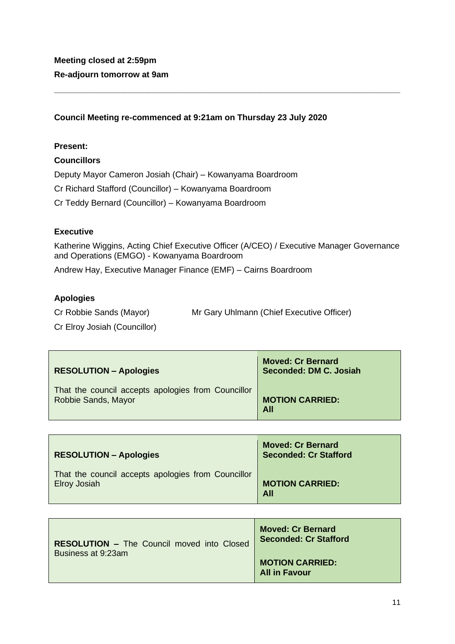# **Council Meeting re-commenced at 9:21am on Thursday 23 July 2020**

### **Present:**

# **Councillors**

Deputy Mayor Cameron Josiah (Chair) – Kowanyama Boardroom

Cr Richard Stafford (Councillor) – Kowanyama Boardroom

Cr Teddy Bernard (Councillor) – Kowanyama Boardroom

# **Executive**

Katherine Wiggins, Acting Chief Executive Officer (A/CEO) / Executive Manager Governance and Operations (EMGO) - Kowanyama Boardroom

**\_\_\_\_\_\_\_\_\_\_\_\_\_\_\_\_\_\_\_\_\_\_\_\_\_\_\_\_\_\_\_\_\_\_\_\_\_\_\_\_\_\_\_\_\_\_\_\_\_\_\_\_\_\_\_\_\_\_\_\_\_\_\_\_\_\_\_\_\_\_\_\_\_\_**

Andrew Hay, Executive Manager Finance (EMF) – Cairns Boardroom

# **Apologies**

| Cr Robbie Sands (Mayor) | Mr Gary Uhlmann (Chief Executive Officer) |  |
|-------------------------|-------------------------------------------|--|
|                         |                                           |  |

Cr Elroy Josiah (Councillor)

| <b>RESOLUTION - Apologies</b>                      | <b>Moved: Cr Bernard</b><br>Seconded: DM C. Josiah |
|----------------------------------------------------|----------------------------------------------------|
| That the council accepts apologies from Councillor | <b>MOTION CARRIED:</b>                             |
| Robbie Sands, Mayor                                | All                                                |

| <b>RESOLUTION - Apologies</b>                      | <b>Moved: Cr Bernard</b><br><b>Seconded: Cr Stafford</b> |
|----------------------------------------------------|----------------------------------------------------------|
| That the council accepts apologies from Councillor | <b>MOTION CARRIED:</b>                                   |
| <b>Elroy Josiah</b>                                | <b>All</b>                                               |

| <b>RESOLUTION – The Council moved into Closed</b><br>Business at 9:23am | <b>Moved: Cr Bernard</b><br><b>Seconded: Cr Stafford</b> |
|-------------------------------------------------------------------------|----------------------------------------------------------|
|                                                                         | <b>MOTION CARRIED:</b><br><b>All in Favour</b>           |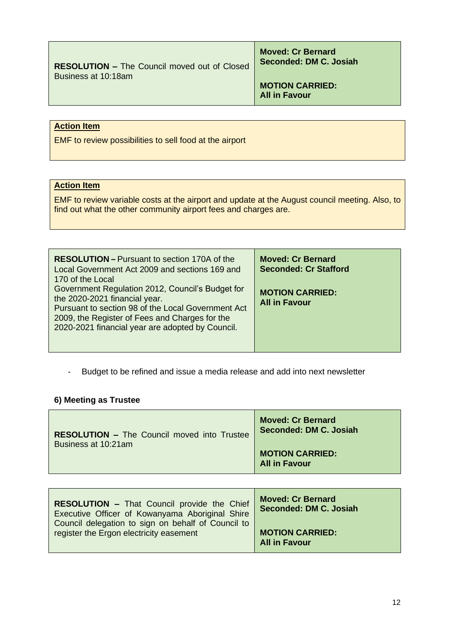**RESOLUTION –** The Council moved out of Closed Business at 10:18am

**Moved: Cr Bernard Seconded: DM C. Josiah**

**MOTION CARRIED: All in Favour**

# **Action Item**

EMF to review possibilities to sell food at the airport

### **Action Item**

EMF to review variable costs at the airport and update at the August council meeting. Also, to find out what the other community airport fees and charges are.

| <b>RESOLUTION - Pursuant to section 170A of the</b><br>Local Government Act 2009 and sections 169 and<br>170 of the Local                                                                                                                     | <b>Moved: Cr Bernard</b><br><b>Seconded: Cr Stafford</b> |
|-----------------------------------------------------------------------------------------------------------------------------------------------------------------------------------------------------------------------------------------------|----------------------------------------------------------|
| Government Regulation 2012, Council's Budget for<br>the 2020-2021 financial year.<br>Pursuant to section 98 of the Local Government Act<br>2009, the Register of Fees and Charges for the<br>2020-2021 financial year are adopted by Council. | <b>MOTION CARRIED:</b><br><b>All in Favour</b>           |

- Budget to be refined and issue a media release and add into next newsletter

#### **6) Meeting as Trustee**

| <b>RESOLUTION – The Council moved into Trustee</b> | <b>Moved: Cr Bernard</b><br>Seconded: DM C. Josiah |
|----------------------------------------------------|----------------------------------------------------|
| Business at 10:21am                                | <b>MOTION CARRIED:</b><br><b>All in Favour</b>     |

| <b>RESOLUTION - That Council provide the Chief</b><br>Executive Officer of Kowanyama Aboriginal Shire<br>Council delegation to sign on behalf of Council to | <b>Moved: Cr Bernard</b><br>Seconded: DM C. Josiah |
|-------------------------------------------------------------------------------------------------------------------------------------------------------------|----------------------------------------------------|
| register the Ergon electricity easement                                                                                                                     | <b>MOTION CARRIED:</b><br><b>All in Favour</b>     |